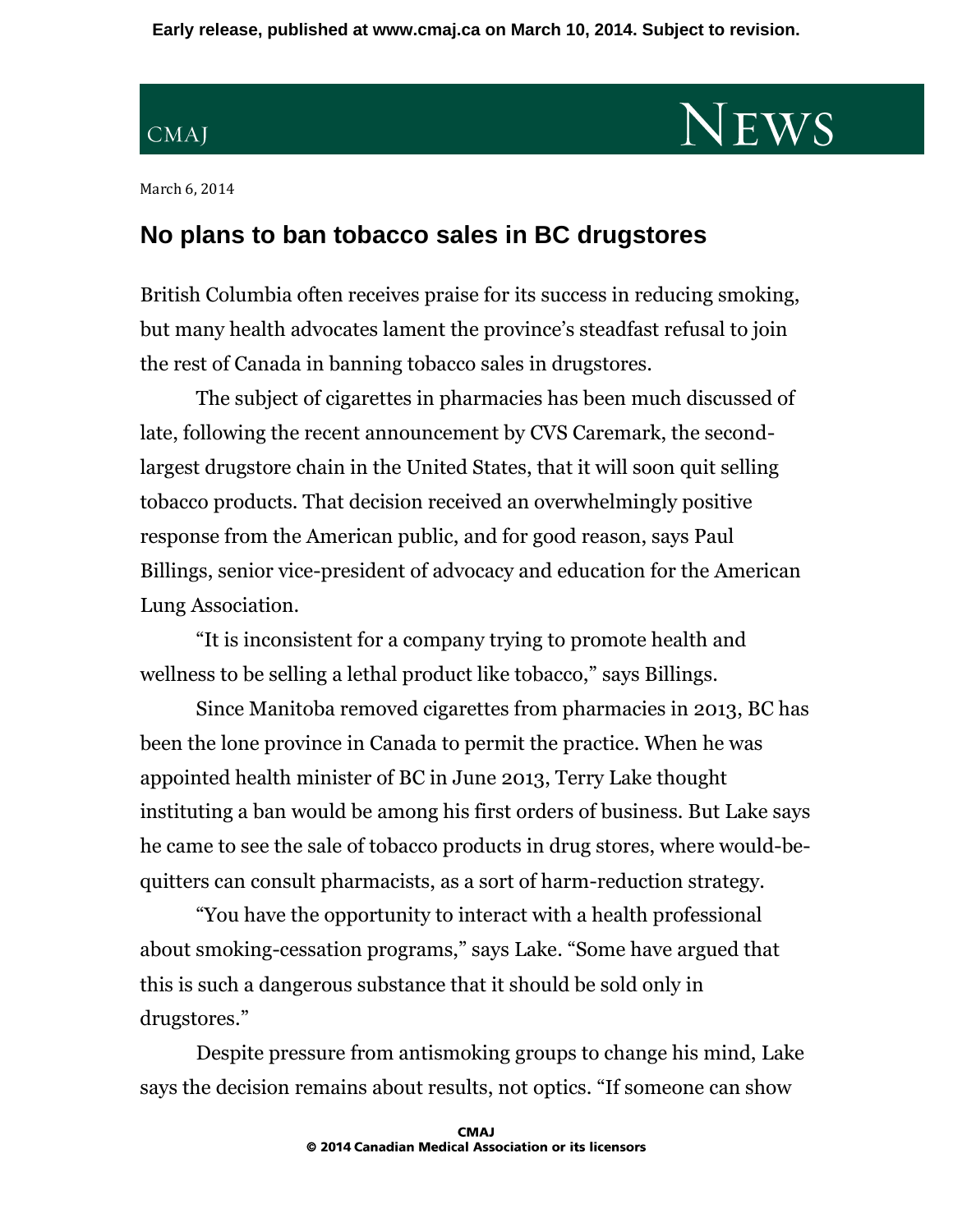**Early release, published at www.cmaj.ca on March 10, 2014. Subject to revision.**

## CMAJ

## **NEWS**

March 6, 2014

## **No plans to ban tobacco sales in BC drugstores**

British Columbia often receives praise for its success in reducing smoking, but many health advocates lament the province's steadfast refusal to join the rest of Canada in banning tobacco sales in drugstores.

The subject of cigarettes in pharmacies has been much discussed of late, following the recent announcement by CVS Caremark, the secondlargest drugstore chain in the United States, that it will soon quit selling tobacco products. That decision received an overwhelmingly positive response from the American public, and for good reason, says Paul Billings, senior vice-president of advocacy and education for the American Lung Association.

"It is inconsistent for a company trying to promote health and wellness to be selling a lethal product like tobacco," says Billings.

Since Manitoba removed cigarettes from pharmacies in 2013, BC has been the lone province in Canada to permit the practice. When he was appointed health minister of BC in June 2013, Terry Lake thought instituting a ban would be among his first orders of business. But Lake says he came to see the sale of tobacco products in drug stores, where would-bequitters can consult pharmacists, as a sort of harm-reduction strategy.

"You have the opportunity to interact with a health professional about smoking-cessation programs," says Lake. "Some have argued that this is such a dangerous substance that it should be sold only in drugstores."

Despite pressure from antismoking groups to change his mind, Lake says the decision remains about results, not optics. "If someone can show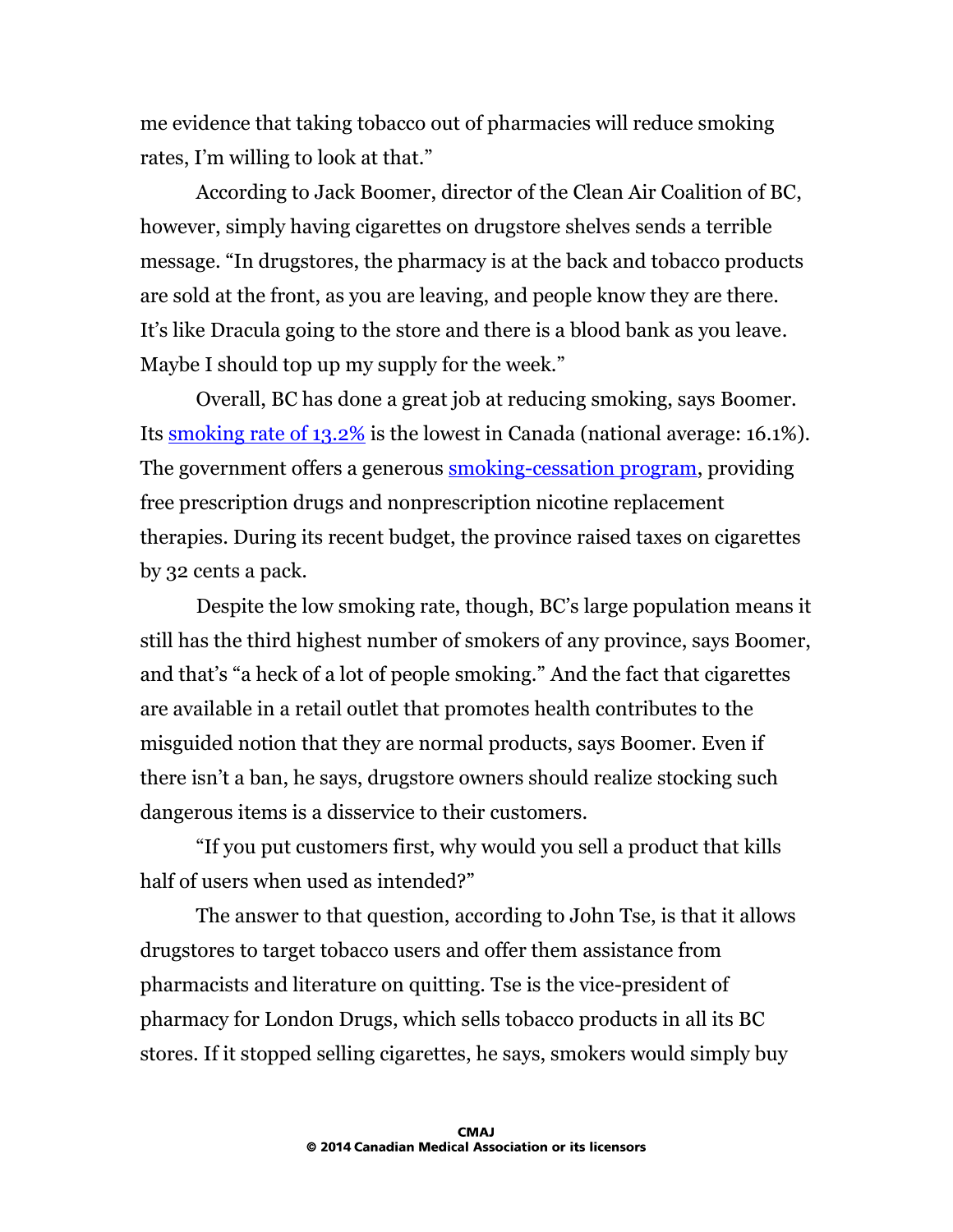me evidence that taking tobacco out of pharmacies will reduce smoking rates, I'm willing to look at that."

According to Jack Boomer, director of the Clean Air Coalition of BC, however, simply having cigarettes on drugstore shelves sends a terrible message. "In drugstores, the pharmacy is at the back and tobacco products are sold at the front, as you are leaving, and people know they are there. It's like Dracula going to the store and there is a blood bank as you leave. Maybe I should top up my supply for the week."

Overall, BC has done a great job at reducing smoking, says Boomer. Its [smoking rate of 13.2%](http://www.tobaccoreport.ca/2014/TobaccoUseinCanada_2014.pdf) is the lowest in Canada (national average: 16.1%). The government offers a generous **smoking-cessation program**, providing free prescription drugs and nonprescription nicotine replacement therapies. During its recent budget, the province raised taxes on cigarettes by 32 cents a pack.

Despite the low smoking rate, though, BC's large population means it still has the third highest number of smokers of any province, says Boomer, and that's "a heck of a lot of people smoking." And the fact that cigarettes are available in a retail outlet that promotes health contributes to the misguided notion that they are normal products, says Boomer. Even if there isn't a ban, he says, drugstore owners should realize stocking such dangerous items is a disservice to their customers.

"If you put customers first, why would you sell a product that kills half of users when used as intended?"

The answer to that question, according to John Tse, is that it allows drugstores to target tobacco users and offer them assistance from pharmacists and literature on quitting. Tse is the vice-president of pharmacy for London Drugs, which sells tobacco products in all its BC stores. If it stopped selling cigarettes, he says, smokers would simply buy